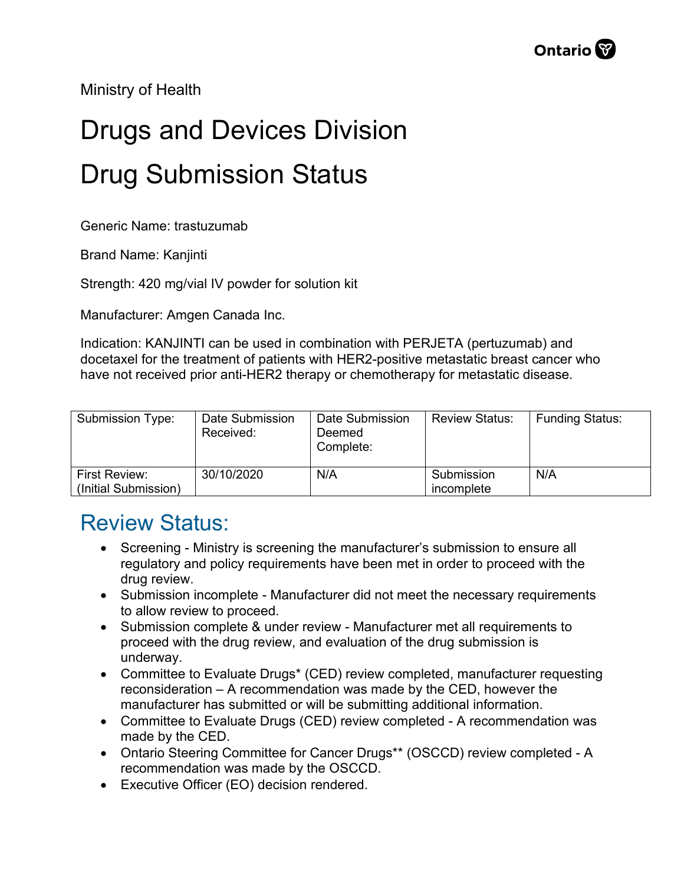Ministry of Health

## Drugs and Devices Division Drug Submission Status

Generic Name: trastuzumab

Brand Name: Kanjinti

Strength: 420 mg/vial IV powder for solution kit

Manufacturer: Amgen Canada Inc.

Indication: KANJINTI can be used in combination with PERJETA (pertuzumab) and docetaxel for the treatment of patients with HER2-positive metastatic breast cancer who have not received prior anti-HER2 therapy or chemotherapy for metastatic disease.

| <b>Submission Type:</b>               | Date Submission<br>Received: | Date Submission<br>Deemed<br>Complete: | <b>Review Status:</b>    | <b>Funding Status:</b> |
|---------------------------------------|------------------------------|----------------------------------------|--------------------------|------------------------|
| First Review:<br>(Initial Submission) | 30/10/2020                   | N/A                                    | Submission<br>incomplete | N/A                    |

## Review Status:

- Screening Ministry is screening the manufacturer's submission to ensure all regulatory and policy requirements have been met in order to proceed with the drug review.
- Submission incomplete Manufacturer did not meet the necessary requirements to allow review to proceed.
- Submission complete & under review Manufacturer met all requirements to proceed with the drug review, and evaluation of the drug submission is underway.
- Committee to Evaluate Drugs\* (CED) review completed, manufacturer requesting reconsideration – A recommendation was made by the CED, however the manufacturer has submitted or will be submitting additional information.
- Committee to Evaluate Drugs (CED) review completed A recommendation was made by the CED.
- Ontario Steering Committee for Cancer Drugs\*\* (OSCCD) review completed A recommendation was made by the OSCCD.
- Executive Officer (EO) decision rendered.